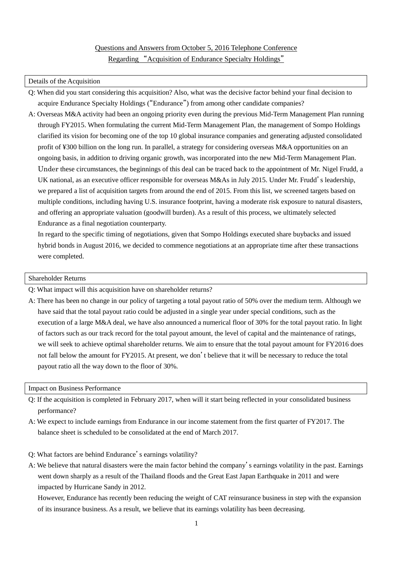# Questions and Answers from October 5, 2016 Telephone Conference Regarding "Acquisition of Endurance Specialty Holdings"

## Details of the Acquisition

- Q: When did you start considering this acquisition? Also, what was the decisive factor behind your final decision to acquire Endurance Specialty Holdings ("Endurance") from among other candidate companies?
- A: Overseas M&A activity had been an ongoing priority even during the previous Mid-Term Management Plan running through FY2015. When formulating the current Mid-Term Management Plan, the management of Sompo Holdings clarified its vision for becoming one of the top 10 global insurance companies and generating adjusted consolidated profit of ¥300 billion on the long run. In parallel, a strategy for considering overseas M&A opportunities on an ongoing basis, in addition to driving organic growth, was incorporated into the new Mid-Term Management Plan. Under these circumstances, the beginnings of this deal can be traced back to the appointment of Mr. Nigel Frudd, a UK national, as an executive officer responsible for overseas M&As in July 2015. Under Mr. Frudd's leadership, we prepared a list of acquisition targets from around the end of 2015. From this list, we screened targets based on multiple conditions, including having U.S. insurance footprint, having a moderate risk exposure to natural disasters, and offering an appropriate valuation (goodwill burden). As a result of this process, we ultimately selected Endurance as a final negotiation counterparty.

In regard to the specific timing of negotiations, given that Sompo Holdings executed share buybacks and issued hybrid bonds in August 2016, we decided to commence negotiations at an appropriate time after these transactions were completed.

### Shareholder Returns

- Q: What impact will this acquisition have on shareholder returns?
- A: There has been no change in our policy of targeting a total payout ratio of 50% over the medium term. Although we have said that the total payout ratio could be adjusted in a single year under special conditions, such as the execution of a large M&A deal, we have also announced a numerical floor of 30% for the total payout ratio. In light of factors such as our track record for the total payout amount, the level of capital and the maintenance of ratings, we will seek to achieve optimal shareholder returns. We aim to ensure that the total payout amount for FY2016 does not fall below the amount for FY2015. At present, we don't believe that it will be necessary to reduce the total payout ratio all the way down to the floor of 30%.

#### Impact on Business Performance

- Q: If the acquisition is completed in February 2017, when will it start being reflected in your consolidated business performance?
- A: We expect to include earnings from Endurance in our income statement from the first quarter of FY2017. The balance sheet is scheduled to be consolidated at the end of March 2017.
- Q: What factors are behind Endurance's earnings volatility?
- A: We believe that natural disasters were the main factor behind the company's earnings volatility in the past. Earnings went down sharply as a result of the Thailand floods and the Great East Japan Earthquake in 2011 and were impacted by Hurricane Sandy in 2012.

However, Endurance has recently been reducing the weight of CAT reinsurance business in step with the expansion of its insurance business. As a result, we believe that its earnings volatility has been decreasing.